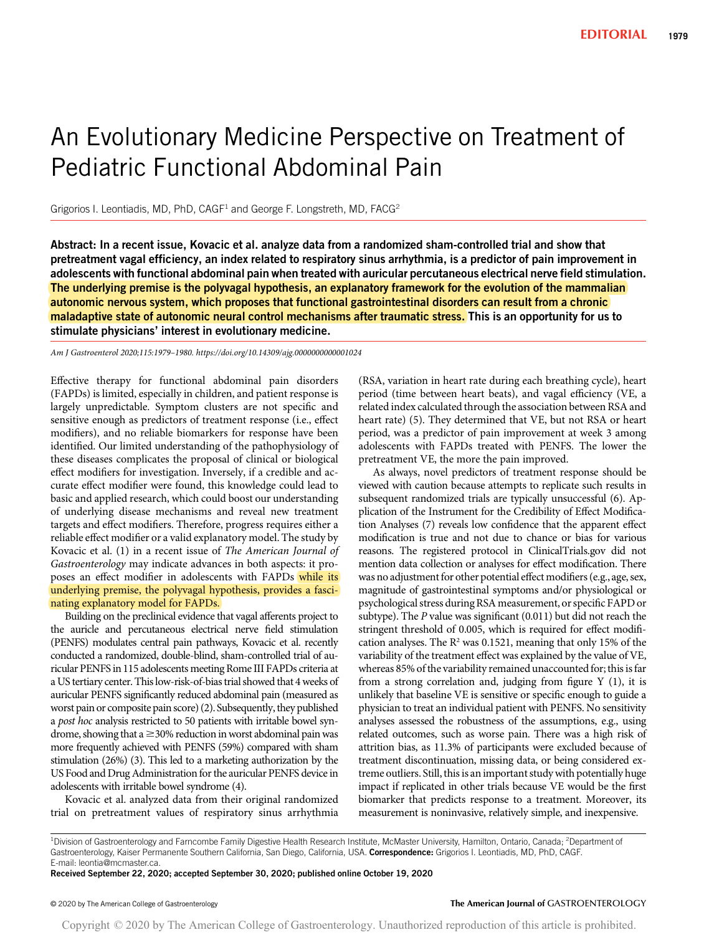# An Evolutionary Medicine Perspective on Treatment of Pediatric Functional Abdominal Pain

Grigorios I. Leontiadis, MD, PhD, CAGF<sup>1</sup> and George F. Longstreth, MD, FACG<sup>2</sup>

Abstract: In a recent issue, Kovacic et al. analyze data from a randomized sham-controlled trial and show that pretreatment vagal efficiency, an index related to respiratory sinus arrhythmia, is a predictor of pain improvement in adolescents with functional abdominal pain when treated with auricular percutaneous electrical nerve field stimulation. The underlying premise is the polyvagal hypothesis, an explanatory framework for the evolution of the mammalian autonomic nervous system, which proposes that functional gastrointestinal disorders can result from a chronic maladaptive state of autonomic neural control mechanisms after traumatic stress. This is an opportunity for us to stimulate physicians' interest in evolutionary medicine.

Am J Gastroenterol 2020;115:1979–1980.<https://doi.org/10.14309/ajg.0000000000001024>

Effective therapy for functional abdominal pain disorders (FAPDs) is limited, especially in children, and patient response is largely unpredictable. Symptom clusters are not specific and sensitive enough as predictors of treatment response (i.e., effect modifiers), and no reliable biomarkers for response have been identified. Our limited understanding of the pathophysiology of these diseases complicates the proposal of clinical or biological effect modifiers for investigation. Inversely, if a credible and accurate effect modifier were found, this knowledge could lead to basic and applied research, which could boost our understanding of underlying disease mechanisms and reveal new treatment targets and effect modifiers. Therefore, progress requires either a reliable effect modifier or a valid explanatory model. The study by Kovacic et al. (1) in a recent issue of The American Journal of Gastroenterology may indicate advances in both aspects: it proposes an effect modifier in adolescents with FAPDs while its underlying premise, the polyvagal hypothesis, provides a fascinating explanatory model for FAPDs.

Building on the preclinical evidence that vagal afferents project to the auricle and percutaneous electrical nerve field stimulation (PENFS) modulates central pain pathways, Kovacic et al. recently conducted a randomized, double-blind, sham-controlled trial of auricular PENFS in 115 adolescents meeting Rome III FAPDs criteria at a US tertiary center. This low-risk-of-bias trial showed that 4 weeks of auricular PENFS significantly reduced abdominal pain (measured as worst pain or composite pain score) (2). Subsequently, they published a post hoc analysis restricted to 50 patients with irritable bowel syndrome, showing that a  $\geq$  30% reduction in worst abdominal pain was more frequently achieved with PENFS (59%) compared with sham stimulation (26%) (3). This led to a marketing authorization by the US Food and Drug Administration for the auricular PENFS device in adolescents with irritable bowel syndrome (4).

Kovacic et al. analyzed data from their original randomized trial on pretreatment values of respiratory sinus arrhythmia (RSA, variation in heart rate during each breathing cycle), heart period (time between heart beats), and vagal efficiency (VE, a related index calculated through the association between RSA and heart rate) (5). They determined that VE, but not RSA or heart period, was a predictor of pain improvement at week 3 among adolescents with FAPDs treated with PENFS. The lower the pretreatment VE, the more the pain improved.

As always, novel predictors of treatment response should be viewed with caution because attempts to replicate such results in subsequent randomized trials are typically unsuccessful (6). Application of the Instrument for the Credibility of Effect Modification Analyses (7) reveals low confidence that the apparent effect modification is true and not due to chance or bias for various reasons. The registered protocol in [ClinicalTrials.gov](http://ClinicalTrials.gov) did not mention data collection or analyses for effect modification. There was no adjustment for other potential effect modifiers (e.g., age, sex, magnitude of gastrointestinal symptoms and/or physiological or psychological stress during RSA measurement, or specific FAPD or subtype). The P value was significant (0.011) but did not reach the stringent threshold of 0.005, which is required for effect modification analyses. The  $R^2$  was 0.1521, meaning that only 15% of the variability of the treatment effect was explained by the value of VE, whereas 85% of the variability remained unaccounted for; this is far from a strong correlation and, judging from figure Y (1), it is unlikely that baseline VE is sensitive or specific enough to guide a physician to treat an individual patient with PENFS. No sensitivity analyses assessed the robustness of the assumptions, e.g., using related outcomes, such as worse pain. There was a high risk of attrition bias, as 11.3% of participants were excluded because of treatment discontinuation, missing data, or being considered extreme outliers. Still, this is an important study with potentially huge impact if replicated in other trials because VE would be the first biomarker that predicts response to a treatment. Moreover, its measurement is noninvasive, relatively simple, and inexpensive.

Received September 22, 2020; accepted September 30, 2020; published online October 19, 2020

#### © 2020 by The American College of Gastroenterology The American Journal of GASTROENTEROLOGY

Copyright © 2020 by The American College of Gastroenterology. Unauthorized reproduction of this article is prohibited.

<sup>&</sup>lt;sup>1</sup>Division of Gastroenterology and Farncombe Family Digestive Health Research Institute, McMaster University, Hamilton, Ontario, Canada; <sup>2</sup>Department of Gastroenterology, Kaiser Permanente Southern California, San Diego, California, USA. Correspondence: Grigorios I. Leontiadis, MD, PhD, CAGF. E-mail: [leontia@mcmaster.ca.](mailto:leontia@mcmaster.ca)